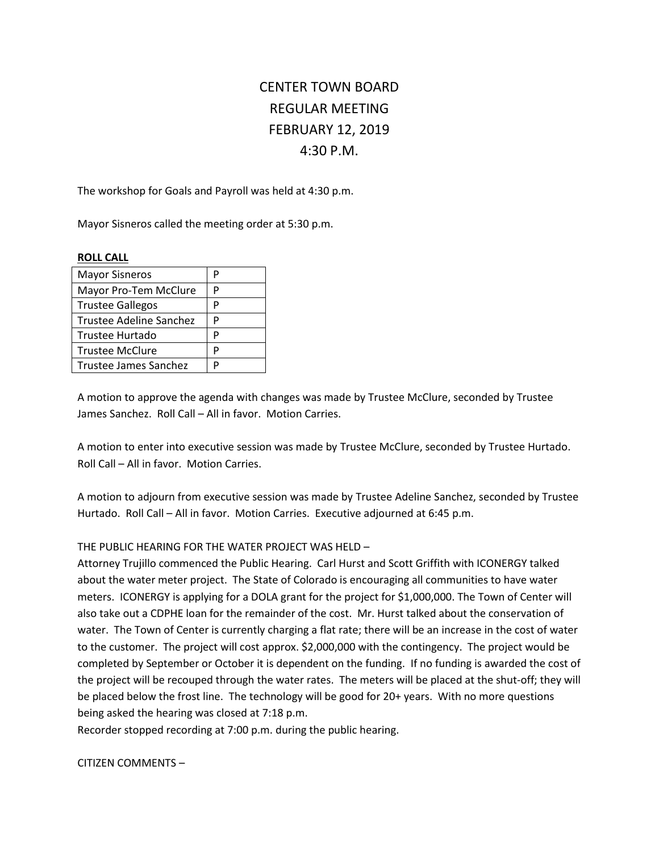# CENTER TOWN BOARD REGULAR MEETING FEBRUARY 12, 2019 4:30 P.M.

The workshop for Goals and Payroll was held at 4:30 p.m.

Mayor Sisneros called the meeting order at 5:30 p.m.

## **ROLL CALL**

| <b>Mayor Sisneros</b>   | Р |
|-------------------------|---|
| Mayor Pro-Tem McClure   | P |
| <b>Trustee Gallegos</b> | P |
| Trustee Adeline Sanchez | P |
| Trustee Hurtado         | P |
| <b>Trustee McClure</b>  | P |
| Trustee James Sanchez   | D |

A motion to approve the agenda with changes was made by Trustee McClure, seconded by Trustee James Sanchez. Roll Call – All in favor. Motion Carries.

A motion to enter into executive session was made by Trustee McClure, seconded by Trustee Hurtado. Roll Call – All in favor. Motion Carries.

A motion to adjourn from executive session was made by Trustee Adeline Sanchez, seconded by Trustee Hurtado. Roll Call – All in favor. Motion Carries. Executive adjourned at 6:45 p.m.

# THE PUBLIC HEARING FOR THE WATER PROJECT WAS HELD –

Attorney Trujillo commenced the Public Hearing. Carl Hurst and Scott Griffith with ICONERGY talked about the water meter project. The State of Colorado is encouraging all communities to have water meters. ICONERGY is applying for a DOLA grant for the project for \$1,000,000. The Town of Center will also take out a CDPHE loan for the remainder of the cost. Mr. Hurst talked about the conservation of water. The Town of Center is currently charging a flat rate; there will be an increase in the cost of water to the customer. The project will cost approx. \$2,000,000 with the contingency. The project would be completed by September or October it is dependent on the funding. If no funding is awarded the cost of the project will be recouped through the water rates. The meters will be placed at the shut-off; they will be placed below the frost line. The technology will be good for 20+ years. With no more questions being asked the hearing was closed at 7:18 p.m.

Recorder stopped recording at 7:00 p.m. during the public hearing.

CITIZEN COMMENTS –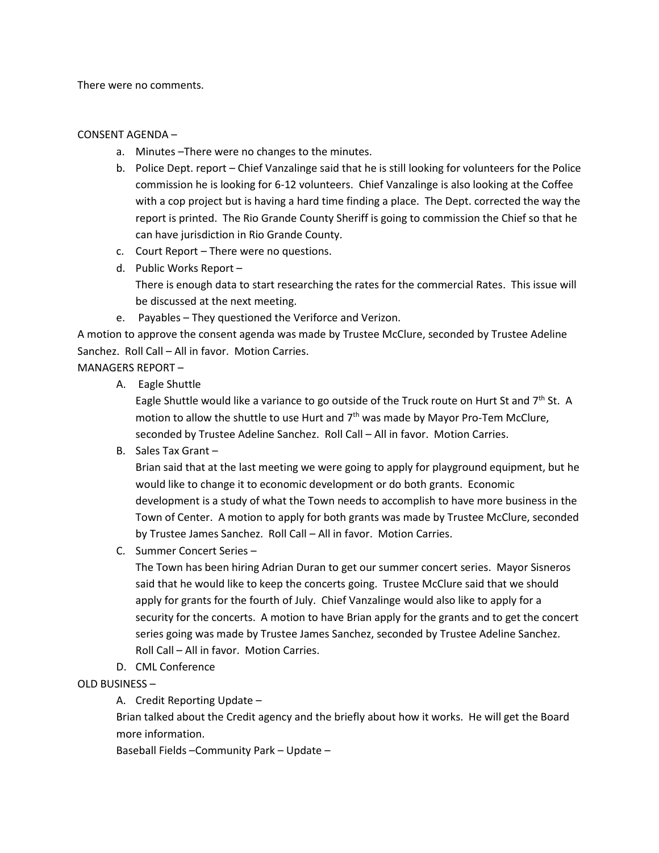There were no comments.

## CONSENT AGENDA –

- a. Minutes –There were no changes to the minutes.
- b. Police Dept. report Chief Vanzalinge said that he is still looking for volunteers for the Police commission he is looking for 6-12 volunteers. Chief Vanzalinge is also looking at the Coffee with a cop project but is having a hard time finding a place. The Dept. corrected the way the report is printed. The Rio Grande County Sheriff is going to commission the Chief so that he can have jurisdiction in Rio Grande County.
- c. Court Report There were no questions.
- d. Public Works Report There is enough data to start researching the rates for the commercial Rates. This issue will be discussed at the next meeting.
- e. Payables They questioned the Veriforce and Verizon.

A motion to approve the consent agenda was made by Trustee McClure, seconded by Trustee Adeline Sanchez. Roll Call – All in favor. Motion Carries.

MANAGERS REPORT –

A. Eagle Shuttle

Eagle Shuttle would like a variance to go outside of the Truck route on Hurt St and 7<sup>th</sup> St. A motion to allow the shuttle to use Hurt and  $7<sup>th</sup>$  was made by Mayor Pro-Tem McClure, seconded by Trustee Adeline Sanchez. Roll Call – All in favor. Motion Carries.

B. Sales Tax Grant –

Brian said that at the last meeting we were going to apply for playground equipment, but he would like to change it to economic development or do both grants. Economic development is a study of what the Town needs to accomplish to have more business in the Town of Center. A motion to apply for both grants was made by Trustee McClure, seconded by Trustee James Sanchez. Roll Call – All in favor. Motion Carries.

C. Summer Concert Series –

The Town has been hiring Adrian Duran to get our summer concert series. Mayor Sisneros said that he would like to keep the concerts going. Trustee McClure said that we should apply for grants for the fourth of July. Chief Vanzalinge would also like to apply for a security for the concerts. A motion to have Brian apply for the grants and to get the concert series going was made by Trustee James Sanchez, seconded by Trustee Adeline Sanchez. Roll Call – All in favor. Motion Carries.

D. CML Conference

# OLD BUSINESS –

A. Credit Reporting Update –

Brian talked about the Credit agency and the briefly about how it works. He will get the Board more information.

Baseball Fields –Community Park – Update –